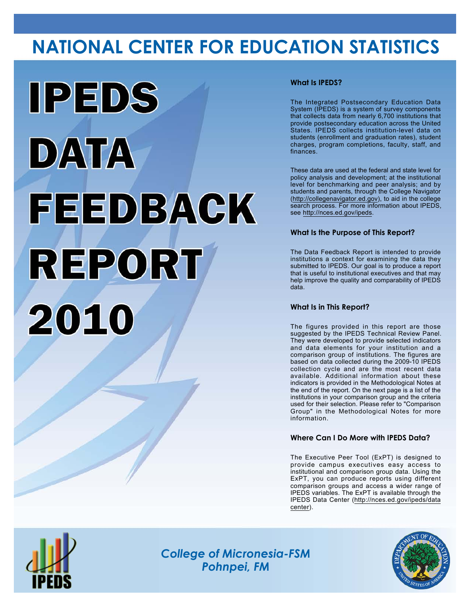# **NATIONAL CENTER FOR EDUCATION STATISTICS**



## **What Is IPEDS?**

The Integrated Postsecondary Education Data System (IPEDS) is a system of survey components that collects data from nearly 6,700 institutions that provide postsecondary education across the United States. IPEDS collects institution-level data on students (enrollment and graduation rates), student charges, program completions, faculty, staff, and finances.

These data are used at the federal and state level for policy analysis and development; at the institutional level for benchmarking and peer analysis; and by students and parents, through the College Navigator (<http://collegenavigator.ed.gov>), to aid in the college search process. For more information about IPEDS, see [http://nces.ed.gov/ipeds.](http://nces.ed.gov/ipeds)

## **What Is the Purpose of This Report?**

The Data Feedback Report is intended to provide institutions a context for examining the data they submitted to IPEDS. Our goal is to produce a report that is useful to institutional executives and that may help improve the quality and comparability of IPEDS data.

### **What Is in This Report?**

The figures provided in this report are those suggested by the IPEDS Technical Review Panel. They were developed to provide selected indicators and data elements for your institution and a comparison group of institutions. The figures are based on data collected during the 2009-10 IPEDS collection cycle and are the most recent data available. Additional information about these indicators is provided in the Methodological Notes at the end of the report. On the next page is a list of the institutions in your comparison group and the criteria used for their selection. Please refer to "Comparison Group" in the Methodological Notes for more information.

### **Where Can I Do More with IPEDS Data?**

The Executive Peer Tool (ExPT) is designed to provide campus executives easy access to institutional and comparison group data. Using the ExPT, you can produce reports using different comparison groups and access a wider range of IPEDS variables. The ExPT is available through the IPEDS Data Center ([http://nces.ed.gov/ipeds/data](http://nces.ed.gov/ipeds/datacenter) [center](http://nces.ed.gov/ipeds/datacenter)).



Image description. Cover Image End of image description.

*College of Micronesia-FSM Pohnpei, FM*

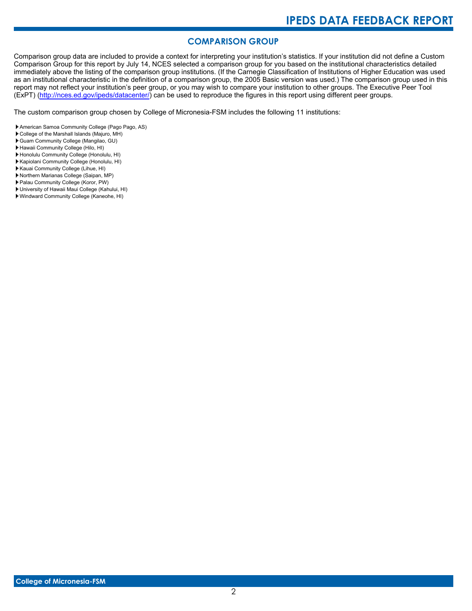# **COMPARISON GROUP**

Comparison group data are included to provide a context for interpreting your institution's statistics. If your institution did not define a Custom Comparison Group for this report by July 14, NCES selected a comparison group for you based on the institutional characteristics detailed immediately above the listing of the comparison group institutions. (If the Carnegie Classification of Institutions of Higher Education was used as an institutional characteristic in the definition of a comparison group, the 2005 Basic version was used.) The comparison group used in this report may not reflect your institution's peer group, or you may wish to compare your institution to other groups. The Executive Peer Tool (ExPT) [\(http://nces.ed.gov/ipeds/datacenter/\)](http://nces.ed.gov/ipeds/datacenter/) can be used to reproduce the figures in this report using different peer groups.

The custom comparison group chosen by College of Micronesia-FSM includes the following 11 institutions:

- American Samoa Community College (Pago Pago, AS)
- College of the Marshall Islands (Majuro, MH)
- Guam Community College (Mangilao, GU)
- Hawaii Community College (Hilo, HI)
- Honolulu Community College (Honolulu, HI)
- Kapiolani Community College (Honolulu, HI)
- Kauai Community College (Lihue, HI)
- Northern Marianas College (Saipan, MP)
- Palau Community College (Koror, PW)
- University of Hawaii Maui College (Kahului, HI)
- Windward Community College (Kaneohe, HI)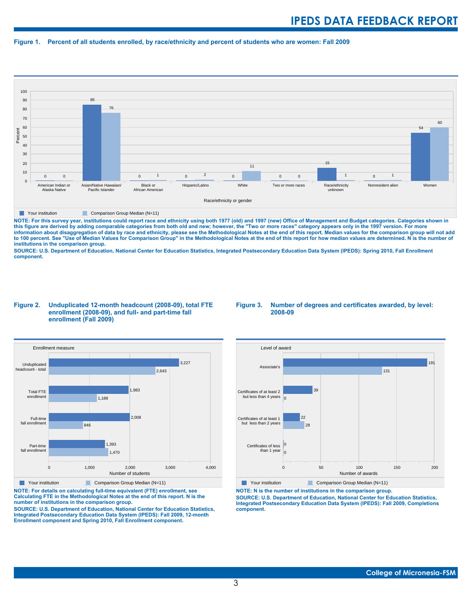#### **Figure 1. Percent of all students enrolled, by race/ethnicity and percent of students who are women: Fall 2009**



#### **The Comparison Group Median (N=11)** Comparison Group Median (N=11)

NOTE: For this survey year, institutions could report race and ethnicity using both 1977 (old) and 1997 (new) Office of Management and Budget categories. Categories shown in<br>this figure are derived by adding comparable cat **information about disaggregation of data by race and ethnicity, please see the Methodological Notes at the end of this report. Median values for the comparison group will not add to 100 percent. See "Use of Median Values for Comparison Group" in the Methodological Notes at the end of this report for how median values are determined. N is the number of institutions in the comparison group.**

**SOURCE: U.S. Department of Education, National Center for Education Statistics, Integrated Postsecondary Education Data System (IPEDS): Spring 2010, Fall Enrollment component.**

#### **Figure 2. Unduplicated 12-month headcount (2008-09), total FTE enrollment (2008-09), and full- and part-time fall enrollment (Fall 2009)**





**Your institution** Comparison Group Median (N=11)

**NOTE: For details on calculating full-time equivalent (FTE) enrollment, see Calculating FTE in the Methodological Notes at the end of this report. N is the number of institutions in the comparison group.**

**SOURCE: U.S. Department of Education, National Center for Education Statistics, Integrated Postsecondary Education Data System (IPEDS): Fall 2009, 12-month Enrollment component and Spring 2010, Fall Enrollment component.**



**The Your institution** Comparison Group Median (N=11)

**NOTE: N is the number of institutions in the comparison group. SOURCE: U.S. Department of Education, National Center for Education Statistics, Integrated Postsecondary Education Data System (IPEDS): Fall 2009, Completions component.**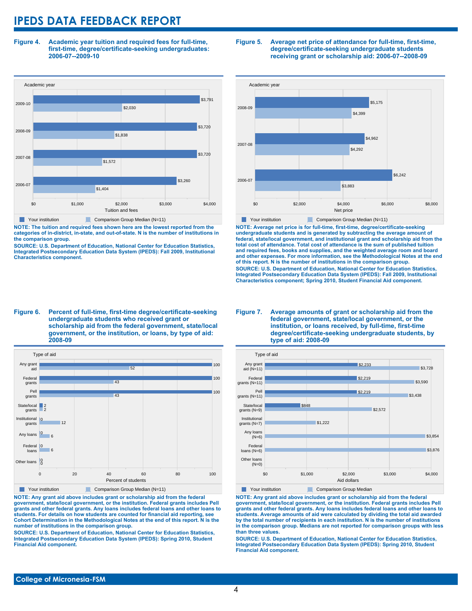**Figure 4. Academic year tuition and required fees for full-time, first-time, degree/certificate-seeking undergraduates: 2006-07--2009-10**



**NOTE: The tuition and required fees shown here are the lowest reported from the categories of in-district, in-state, and out-of-state. N is the number of institutions in the comparison group.**

**SOURCE: U.S. Department of Education, National Center for Education Statistics, Integrated Postsecondary Education Data System (IPEDS): Fall 2009, Institutional Characteristics component.**

#### **Figure 5. Average net price of attendance for full-time, first-time, degree/certificate-seeking undergraduate students receiving grant or scholarship aid: 2006-07--2008-09**



**NOTE: Average net price is for full-time, first-time, degree/certificate-seeking undergraduate students and is generated by subtracting the average amount of federal, state/local government, and institutional grant and scholarship aid from the total cost of attendance. Total cost of attendance is the sum of published tuition and required fees, books and supplies, and the weighted average room and board and other expenses. For more information, see the Methodological Notes at the end of this report. N is the number of institutions in the comparison group. SOURCE: U.S. Department of Education, National Center for Education Statistics, Integrated Postsecondary Education Data System (IPEDS): Fall 2009, Institutional Characteristics component; Spring 2010, Student Financial Aid component.**

#### **Figure 6. Percent of full-time, first-time degree/certificate-seeking undergraduate students who received grant or scholarship aid from the federal government, state/local government, or the institution, or loans, by type of aid: 2008-09**



**NOTE: Any grant aid above includes grant or scholarship aid from the federal government, state/local government, or the institution. Federal grants includes Pell grants and other federal grants. Any loans includes federal loans and other loans to students. For details on how students are counted for financial aid reporting, see Cohort Determination in the Methodological Notes at the end of this report. N is the number of institutions in the comparison group.**

**SOURCE: U.S. Department of Education, National Center for Education Statistics, Integrated Postsecondary Education Data System (IPEDS): Spring 2010, Student Financial Aid component.**

#### **Figure 7. Average amounts of grant or scholarship aid from the federal government, state/local government, or the institution, or loans received, by full-time, first-time degree/certificate-seeking undergraduate students, by type of aid: 2008-09**



**NOTE: Any grant aid above includes grant or scholarship aid from the federal government, state/local government, or the institution. Federal grants includes Pell grants and other federal grants. Any loans includes federal loans and other loans to students. Average amounts of aid were calculated by dividing the total aid awarded by the total number of recipients in each institution. N is the number of institutions in the comparison group. Medians are not reported for comparison groups with less than three values.**

**SOURCE: U.S. Department of Education, National Center for Education Statistics, Integrated Postsecondary Education Data System (IPEDS): Spring 2010, Student Financial Aid component.**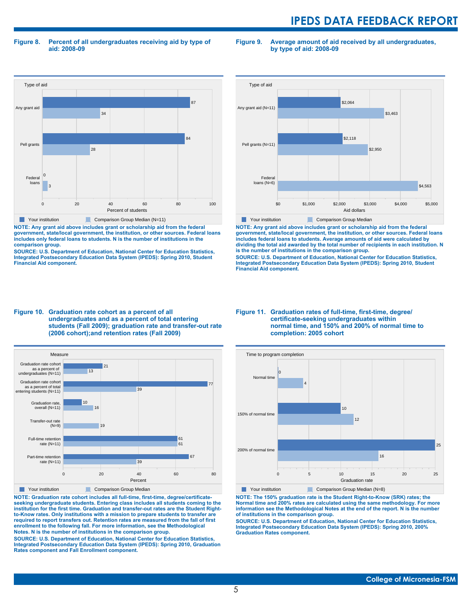**Figure 8. Percent of all undergraduates receiving aid by type of aid: 2008-09**

Type of aid 0 20 40 60 80 100 Percent of students Federal loans Pell grants Any grant aid 3 0 28 84 34 87 **Your institution** Comparison Group Median (N=11)

**NOTE: Any grant aid above includes grant or scholarship aid from the federal government, state/local government, the institution, or other sources. Federal loans includes only federal loans to students. N is the number of institutions in the comparison group.**

**SOURCE: U.S. Department of Education, National Center for Education Statistics, Integrated Postsecondary Education Data System (IPEDS): Spring 2010, Student Financial Aid component.**



**Figure 9. Average amount of aid received by all undergraduates,**

**by type of aid: 2008-09**

**NOTE: Any grant aid above includes grant or scholarship aid from the federal government, state/local government, the institution, or other sources. Federal loans includes federal loans to students. Average amounts of aid were calculated by dividing the total aid awarded by the total number of recipients in each institution. N is the number of institutions in the comparison group.**

**SOURCE: U.S. Department of Education, National Center for Education Statistics, Integrated Postsecondary Education Data System (IPEDS): Spring 2010, Student Financial Aid component.**

#### **Figure 10. Graduation rate cohort as a percent of all undergraduates and as a percent of total entering students (Fall 2009); graduation rate and transfer-out rate (2006 cohort);and retention rates (Fall 2009)**



**NOTE: Graduation rate cohort includes all full-time, first-time, degree/certificateseeking undergraduate students. Entering class includes all students coming to the institution for the first time. Graduation and transfer-out rates are the Student Rightto-Know rates. Only institutions with a mission to prepare students to transfer are required to report transfers out. Retention rates are measured from the fall of first enrollment to the following fall. For more information, see the Methodological Notes. N is the number of institutions in the comparison group.**

**SOURCE: U.S. Department of Education, National Center for Education Statistics, Integrated Postsecondary Education Data System (IPEDS): Spring 2010, Graduation Rates component and Fall Enrollment component.**

#### **Figure 11. Graduation rates of full-time, first-time, degree/ certificate-seeking undergraduates within normal time, and 150% and 200% of normal time to completion: 2005 cohort**



**NOTE: The 150% graduation rate is the Student Right-to-Know (SRK) rates; the Normal time and 200% rates are calculated using the same methodology. For more information see the Methodological Notes at the end of the report. N is the number of institutions in the comparison group.**

**SOURCE: U.S. Department of Education, National Center for Education Statistics, Integrated Postsecondary Education Data System (IPEDS): Spring 2010, 200% Graduation Rates component.**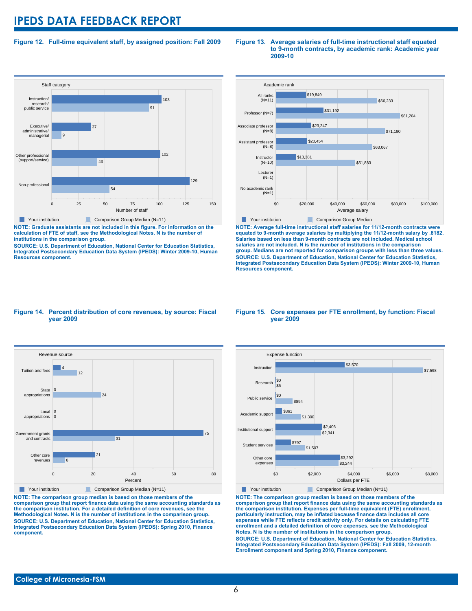### **Figure 12. Full-time equivalent staff, by assigned position: Fall 2009**



**NOTE: Graduate assistants are not included in this figure. For information on the calculation of FTE of staff, see the Methodological Notes. N is the number of institutions in the comparison group.**

**SOURCE: U.S. Department of Education, National Center for Education Statistics, Integrated Postsecondary Education Data System (IPEDS): Winter 2009-10, Human Resources component.**

#### **Figure 13. Average salaries of full-time instructional staff equated to 9-month contracts, by academic rank: Academic year 2009-10**



**NOTE: Average full-time instructional staff salaries for 11/12-month contracts were equated to 9-month average salaries by multiplying the 11/12-month salary by .8182. Salaries based on less than 9-month contracts are not included. Medical school salaries are not included. N is the number of institutions in the comparison group. Medians are not reported for comparison groups with less than three values. SOURCE: U.S. Department of Education, National Center for Education Statistics, Integrated Postsecondary Education Data System (IPEDS): Winter 2009-10, Human Resources component.**

#### **Figure 14. Percent distribution of core revenues, by source: Fiscal year 2009**



**NOTE: The comparison group median is based on those members of the comparison group that report finance data using the same accounting standards as the comparison institution. For a detailed definition of core revenues, see the Methodological Notes. N is the number of institutions in the comparison group. SOURCE: U.S. Department of Education, National Center for Education Statistics, Integrated Postsecondary Education Data System (IPEDS): Spring 2010, Finance component.**

#### **Figure 15. Core expenses per FTE enrollment, by function: Fiscal year 2009**



**NOTE: The comparison group median is based on those members of the comparison group that report finance data using the same accounting standards as the comparison institution. Expenses per full-time equivalent (FTE) enrollment, particularly instruction, may be inflated because finance data includes all core expenses while FTE reflects credit activity only. For details on calculating FTE enrollment and a detailed definition of core expenses, see the Methodological Notes. N is the number of institutions in the comparison group. SOURCE: U.S. Department of Education, National Center for Education Statistics, Integrated Postsecondary Education Data System (IPEDS): Fall 2009, 12-month Enrollment component and Spring 2010, Finance component.**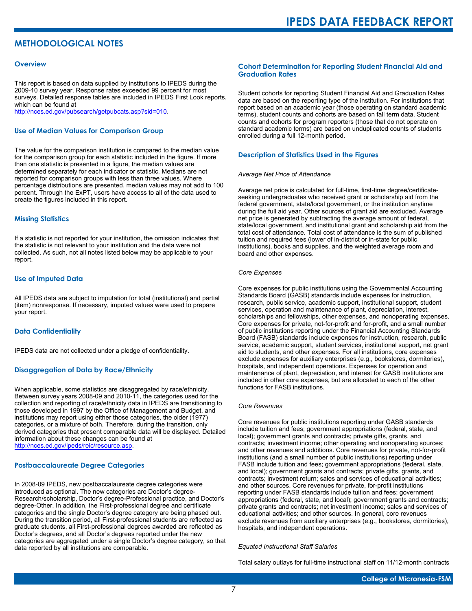# **METHODOLOGICAL NOTES**

#### **Overview**

This report is based on data supplied by institutions to IPEDS during the 2009-10 survey year. Response rates exceeded 99 percent for most surveys. Detailed response tables are included in IPEDS First Look reports, which can be found at [http://nces.ed.gov/pubsearch/getpubcats.asp?sid=010.](http://nces.ed.gov/pubsearch/getpubcats.asp?sid=010)

#### **Use of Median Values for Comparison Group**

The value for the comparison institution is compared to the median value for the comparison group for each statistic included in the figure. If more than one statistic is presented in a figure, the median values are determined separately for each indicator or statistic. Medians are not reported for comparison groups with less than three values. Where percentage distributions are presented, median values may not add to 100 percent. Through the ExPT, users have access to all of the data used to create the figures included in this report.

#### **Missing Statistics**

If a statistic is not reported for your institution, the omission indicates that the statistic is not relevant to your institution and the data were not collected. As such, not all notes listed below may be applicable to your report.

#### **Use of Imputed Data**

All IPEDS data are subject to imputation for total (institutional) and partial (item) nonresponse. If necessary, imputed values were used to prepare your report.

#### **Data Confidentiality**

IPEDS data are not collected under a pledge of confidentiality.

#### **Disaggregation of Data by Race/Ethnicity**

When applicable, some statistics are disaggregated by race/ethnicity. Between survey years 2008-09 and 2010-11, the categories used for the collection and reporting of race/ethnicity data in IPEDS are transitioning to those developed in 1997 by the Office of Management and Budget, and institutions may report using either those categories, the older (1977) categories, or a mixture of both. Therefore, during the transition, only derived categories that present comparable data will be displayed. Detailed information about these changes can be found at <http://nces.ed.gov/ipeds/reic/resource.asp>.

#### **Postbaccalaureate Degree Categories**

In 2008-09 IPEDS, new postbaccalaureate degree categories were introduced as optional. The new categories are Doctor's degree-Research/scholarship, Doctor's degree-Professional practice, and Doctor's degree-Other. In addition, the First-professional degree and certificate categories and the single Doctor's degree category are being phased out. During the transition period, all First-professional students are reflected as graduate students, all First-professional degrees awarded are reflected as Doctor's degrees, and all Doctor's degrees reported under the new categories are aggregated under a single Doctor's degree category, so that data reported by all institutions are comparable.

#### **Cohort Determination for Reporting Student Financial Aid and Graduation Rates**

Student cohorts for reporting Student Financial Aid and Graduation Rates data are based on the reporting type of the institution. For institutions that report based on an academic year (those operating on standard academic terms), student counts and cohorts are based on fall term data. Student counts and cohorts for program reporters (those that do not operate on standard academic terms) are based on unduplicated counts of students enrolled during a full 12-month period.

#### **Description of Statistics Used in the Figures**

#### *Average Net Price of Attendance*

Average net price is calculated for full-time, first-time degree/certificateseeking undergraduates who received grant or scholarship aid from the federal government, state/local government, or the institution anytime during the full aid year. Other sources of grant aid are excluded. Average net price is generated by subtracting the average amount of federal, state/local government, and institutional grant and scholarship aid from the total cost of attendance. Total cost of attendance is the sum of published tuition and required fees (lower of in-district or in-state for public institutions), books and supplies, and the weighted average room and board and other expenses.

#### *Core Expenses*

Core expenses for public institutions using the Governmental Accounting Standards Board (GASB) standards include expenses for instruction, research, public service, academic support, institutional support, student services, operation and maintenance of plant, depreciation, interest, scholarships and fellowships, other expenses, and nonoperating expenses. Core expenses for private, not-for-profit and for-profit, and a small number of public institutions reporting under the Financial Accounting Standards Board (FASB) standards include expenses for instruction, research, public service, academic support, student services, institutional support, net grant aid to students, and other expenses. For all institutions, core expenses exclude expenses for auxiliary enterprises (e.g., bookstores, dormitories), hospitals, and independent operations. Expenses for operation and maintenance of plant, depreciation, and interest for GASB institutions are included in other core expenses, but are allocated to each of the other functions for FASB institutions.

#### *Core Revenues*

Core revenues for public institutions reporting under GASB standards include tuition and fees; government appropriations (federal, state, and local); government grants and contracts; private gifts, grants, and contracts; investment income; other operating and nonoperating sources; and other revenues and additions. Core revenues for private, not-for-profit institutions (and a small number of public institutions) reporting under FASB include tuition and fees; government appropriations (federal, state, and local); government grants and contracts; private gifts, grants, and contracts; investment return; sales and services of educational activities; and other sources. Core revenues for private, for-profit institutions reporting under FASB standards include tuition and fees; government appropriations (federal, state, and local); government grants and contracts; private grants and contracts; net investment income; sales and services of educational activities; and other sources. In general, core revenues exclude revenues from auxiliary enterprises (e.g., bookstores, dormitories), hospitals, and independent operations.

#### *Equated Instructional Staff Salaries*

Total salary outlays for full-time instructional staff on 11/12-month contracts